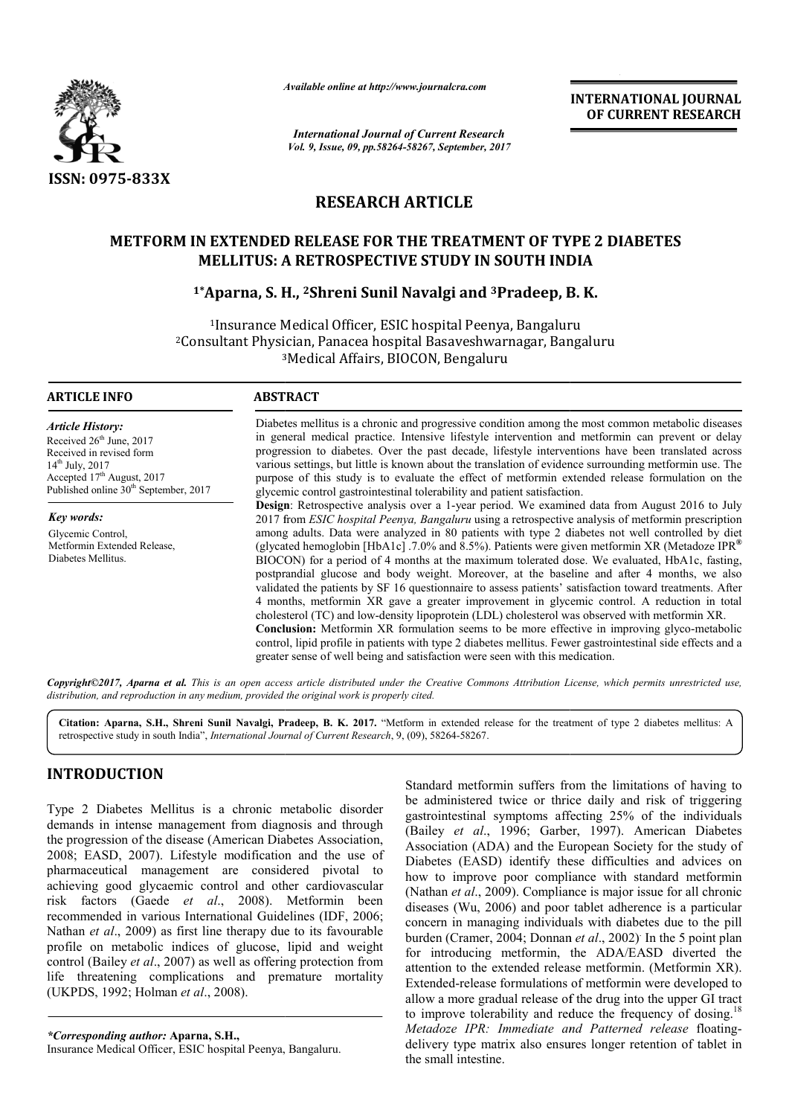

*Available online at http://www.journal http://www.journalcra.com*

*International Journal of Current Research Vol. 9, Issue, 09, pp.58264-58267, September, 2017* **INTERNATIONAL JOURNAL OF CURRENT RESEARCH** 

# **RESEARCH ARTICLE**

# **METFORM IN EXTENDED RELEASE FOR THE TREATMENT OF TYPE 2 DIABETES MELLITUS: A RETROSPECTIVE STUDY IN SOUTH INDIA**  IN EXTENDED RELEASE FOR THE TREATMENT OF TYPE :<br>MELLITUS: A RETROSPECTIVE STUDY IN SOUTH INDIA<br><sup>1\*</sup>Aparna, S. H., <sup>2</sup>Shreni Sunil Navalgi and <sup>3</sup>Pradeep, B. K.

1Insurance Medical Officer, ESIC hospital Peenya, Bangaluru 2Consultant Physician, Panacea hospital Basaveshwarnagar, Bangaluru <sup>3</sup>Medical Affairs, BIOCON, Bengaluru <sup>1</sup>Insurance Medical Officer, ESIC hospital Peenya<br>Consultant Physician, Panacea hospital Basaveshwar<br>Medical Affairs, BIOCON, Bengaluru? hospital Basaveshwarnagar, Bangaluru

#### **ARTICLE INFO ABSTRACT**

*Article History:* Received 26<sup>th</sup> June, 2017 Received in revised form 14<sup>th</sup> July, 2017 Accepted 17<sup>th</sup> August, 2017 Published online  $30<sup>th</sup>$  September, 2017

*Key words:* Glycemic Control, Metformin Extended Release, Diabetes Mellitus.

Diabetes mellitus is a chronic and progressive condition among the most common metabolic diseases in general medical practice. Intensive lifestyle intervention and metformin can prevent or delay progression to diabetes. Over the past decade, lifestyle interventions have been translated across various settings, but little is known about the translation of evidence surrounding metformin use. The purpose of this study is to evaluate the effect of metformin extended release formulation on the glycemic control gastrointestinal tolerability and patient satisfaction. us is a chronic and progressive condition among the most common metabolic diseases<br>lical practice. Intensive lifestyle intervention and metformin can prevent or delay<br>diabetes. Over the past decade, lifestyle interventions

**Design** : Retrospective analysis over a 1-year period. We examined data from August 2016 to July 2017 from *ESIC hospital Peenya, Bangaluru* using a retrospective analysis of metformin prescription among adults. Data were analyzed in 80 patients with type 2 diabetes not well controlled by diet (glycated hemoglobin [HbA1c] .7.0% and 8.5%). Patients were given metformin XR (Metadoze IPR<sup>®</sup> BIOCON) for a period of 4 months at the maximum tolerated dose. We evaluated, HbA1c, fasting, postprandial glucose and body weight. M Moreover, at the baseline and after 4 months, we also validated the patients by SF 16 questionnaire to assess patients' satisfaction toward treatments. After 4 months, metformin XR gave a greater improvement in glycemic control. A reduction in total cholest cholesterol (TC) and low-density lipoprotein (LDL) cholesterol was observed with metformin XR. **Conclusion:**  Metformin XR formulation seems to be more effective in improving glyco control, lipid profile in patients with type 2 diabetes mellitus. Fewer gastrointestinal side effects and a glucose and body weight. Moreover, at the baseline and after 4 months, we also patients by SF 16 questionnaire to assess patients' satisfaction toward treatments. After etformin XR gave a greater improvement in glycemic co

*Copyright©2017, Aparna et al. This is an open access article distributed under the Creative Commons Attribution License, which permits unrestricted use, distribution, and reproduction in any medium, provided the original work is properly cited.*

greater sense of well being and satisfaction were seen with this medication.

Citation: Aparna, S.H., Shreni Sunil Navalgi, Pradeep, B. K. 2017. "Metform in extended release for the treatment of type 2 diabetes mellitus: A retrospective study in south India", *International Journal of Current Research* , 9, (09), 58264-58267.

# **INTRODUCTION**

Type 2 Diabetes Mellitus is a chronic metabolic disorder demands in intense management from diagnosis and through the progression of the disease (American Diabetes Association, 2008; EASD, 2007). Lifestyle modification and the use of 2008; EASD, 2007). Lifestyle modification and the use of pharmaceutical management are considered pivotal to achieving good glycaemic control and other cardiovascular risk factors (Gaede *et al*., 2008). Metformin been . recommended in various International Guidelines (IDF, 2006; Nathan *et al*., 2009) as first line therapy due to its favourable profile on metabolic indices of glucose, lipid and weight control (Bailey *et al*., 2007) as well as offering protection from life threatening complications and premature mortality (UKPDS, 1992; Holman *et al*., 2008).

*\*Corresponding author:* **Aparna, S.H.,** Insurance Medical Officer, ESIC hospital Peenya, Bangaluru. Standard metformin suffers from the limitations of having to be administered twice or thrice daily and risk of triggering gastrointestinal symptoms affecting 25% of the individuals Standard metformin suffers from the limitations of having to<br>be administered twice or thrice daily and risk of triggering<br>gastrointestinal symptoms affecting 25% of the individuals<br>(Bailey *et al.*, 1996; Garber, 1997). Am Association (ADA) and the European Society for the study of Diabetes (EASD) identify these difficulties and advices on how to improve poor compliance with standard metformin (Nathan *et al.*, 2009). Compliance is major issue for all chronic diseases (Wu, 2006) and poor tablet adherence is a particular diseases (Wu, 2006) and poor tablet adherence is a particular concern in managing individuals with diabetes due to the pill burden (Cramer, 2004; Donnan *et al*., 2002) . In the 5 point plan for introducing metformin, the ADA/EASD diverted the attention to the extended release metformin. (Metformin XR). Extended-release formulations of metformin were developed to allow a more gradual release of the drug into the upper GI tract to improve tolerability and reduce the frequency of dosing.<sup>18</sup> *Metadoze IPR: Immediate and Patterned release Metadoze* floatingdelivery type matrix also ensures longer retention of tablet in the small intestine. Association (ADA) and the European Society for the study c<br>Diabetes (EASD) identify these difficulties and advices o<br>how to improve poor compliance with standard metformi for introducing metformin, the ADA/EASD diverted the attention to the extended release metformin. (Metformin XR). Extended-release formulations of metformin were developed to allow a more gradual release of the drug into t **INTERNATIONAL JOURNAL OF CURRENT RESEARCH CONTRAIN CONTRAIN CONTRAIN CONTRAINS CONTRAINS (2014) THE SUPPLE 2 DIABETES INDIA (aluru Bangaluru di Bangaluru di Bangaluru di Bangaluru di Bangaluru di Bangaluru di Bangaluru d**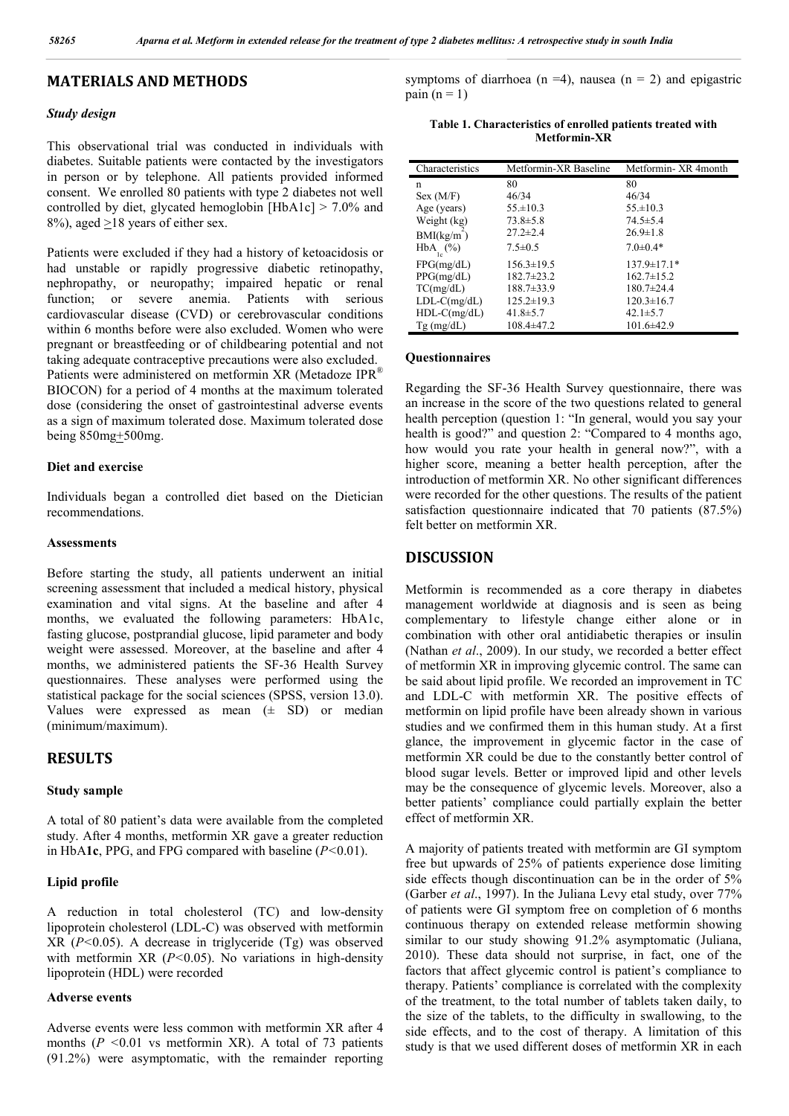## **MATERIALS AND METHODS**

#### *Study design*

This observational trial was conducted in individuals with diabetes. Suitable patients were contacted by the investigators in person or by telephone. All patients provided informed consent. We enrolled 80 patients with type 2 diabetes not well controlled by diet, glycated hemoglobin [HbA1c] > 7.0% and 8%), aged >18 years of either sex.

Patients were excluded if they had a history of ketoacidosis or had unstable or rapidly progressive diabetic retinopathy, nephropathy, or neuropathy; impaired hepatic or renal function; or severe anemia. Patients with serious cardiovascular disease (CVD) or cerebrovascular conditions within 6 months before were also excluded. Women who were pregnant or breastfeeding or of childbearing potential and not taking adequate contraceptive precautions were also excluded. Patients were administered on metformin XR (Metadoze IPR<sup>®</sup> BIOCON) for a period of 4 months at the maximum tolerated dose (considering the onset of gastrointestinal adverse events as a sign of maximum tolerated dose. Maximum tolerated dose being 850mg+500mg.

#### **Diet and exercise**

Individuals began a controlled diet based on the Dietician recommendations.

#### **Assessments**

Before starting the study, all patients underwent an initial screening assessment that included a medical history, physical examination and vital signs. At the baseline and after 4 months, we evaluated the following parameters: HbA1c, fasting glucose, postprandial glucose, lipid parameter and body weight were assessed. Moreover, at the baseline and after 4 months, we administered patients the SF-36 Health Survey questionnaires. These analyses were performed using the statistical package for the social sciences (SPSS, version 13.0). Values were expressed as mean  $(\pm$  SD) or median (minimum/maximum).

### **RESULTS**

#### **Study sample**

A total of 80 patient's data were available from the completed study. After 4 months, metformin XR gave a greater reduction in HbA**1c**, PPG, and FPG compared with baseline (*P<*0.01).

#### **Lipid profile**

A reduction in total cholesterol (TC) and low-density lipoprotein cholesterol (LDL-C) was observed with metformin XR (*P<*0.05). A decrease in triglyceride (Tg) was observed with metformin XR (*P<*0.05). No variations in high-density lipoprotein (HDL) were recorded

#### **Adverse events**

Adverse events were less common with metformin XR after 4 months (*P <*0.01 vs metformin XR). A total of 73 patients (91.2%) were asymptomatic, with the remainder reporting symptoms of diarrhoea (n =4), nausea (n = 2) and epigastric pain  $(n = 1)$ 

| Table 1. Characteristics of enrolled patients treated with |  |
|------------------------------------------------------------|--|
| <b>Metformin-XR</b>                                        |  |

| Characteristics | Metformin-XR Baseline | Metformin-XR 4month |
|-----------------|-----------------------|---------------------|
| n               | 80                    | 80                  |
| Sex (M/F)       | 46/34                 | 46/34               |
| Age (years)     | $55. \pm 10.3$        | $55. \pm 10.3$      |
| Weight (kg)     | $73.8 \pm 5.8$        | $74.5 \pm 5.4$      |
| BMI(kg/m)       | $27.2 \pm 2.4$        | $26.9 \pm 1.8$      |
| $HbA_{1c}(\%)$  | $7.5 \pm 0.5$         | $7.0 \pm 0.4*$      |
| FPG(mg/dL)      | $156.3 \pm 19.5$      | $137.9 \pm 17.1*$   |
| PPG(mg/dL)      | $182.7 \pm 23.2$      | $162.7 \pm 15.2$    |
| TC(mg/dL)       | $188.7 \pm 33.9$      | $180.7 \pm 24.4$    |
| $LDL-C(mg/dL)$  | $125.2 \pm 19.3$      | $120.3 \pm 16.7$    |
| $HDL-C(mg/dL)$  | $41.8 \pm 5.7$        | $42.1 \pm 5.7$      |
| $Tg$ (mg/dL)    | $108.4 \pm 47.2$      | 101.6±42.9          |

#### **Questionnaires**

Regarding the SF-36 Health Survey questionnaire, there was an increase in the score of the two questions related to general health perception (question 1: "In general, would you say your health is good?" and question 2: "Compared to 4 months ago, how would you rate your health in general now?", with a higher score, meaning a better health perception, after the introduction of metformin XR. No other significant differences were recorded for the other questions. The results of the patient satisfaction questionnaire indicated that 70 patients (87.5%) felt better on metformin XR.

#### **DISCUSSION**

Metformin is recommended as a core therapy in diabetes management worldwide at diagnosis and is seen as being complementary to lifestyle change either alone or in combination with other oral antidiabetic therapies or insulin (Nathan *et al*., 2009). In our study, we recorded a better effect of metformin XR in improving glycemic control. The same can be said about lipid profile. We recorded an improvement in TC and LDL-C with metformin XR. The positive effects of metformin on lipid profile have been already shown in various studies and we confirmed them in this human study. At a first glance, the improvement in glycemic factor in the case of metformin XR could be due to the constantly better control of blood sugar levels. Better or improved lipid and other levels may be the consequence of glycemic levels. Moreover, also a better patients' compliance could partially explain the better effect of metformin XR.

A majority of patients treated with metformin are GI symptom free but upwards of 25% of patients experience dose limiting side effects though discontinuation can be in the order of 5% (Garber *et al*., 1997). In the Juliana Levy etal study, over 77% of patients were GI symptom free on completion of 6 months continuous therapy on extended release metformin showing similar to our study showing 91.2% asymptomatic (Juliana, 2010). These data should not surprise, in fact, one of the factors that affect glycemic control is patient's compliance to therapy. Patients' compliance is correlated with the complexity of the treatment, to the total number of tablets taken daily, to the size of the tablets, to the difficulty in swallowing, to the side effects, and to the cost of therapy. A limitation of this study is that we used different doses of metformin XR in each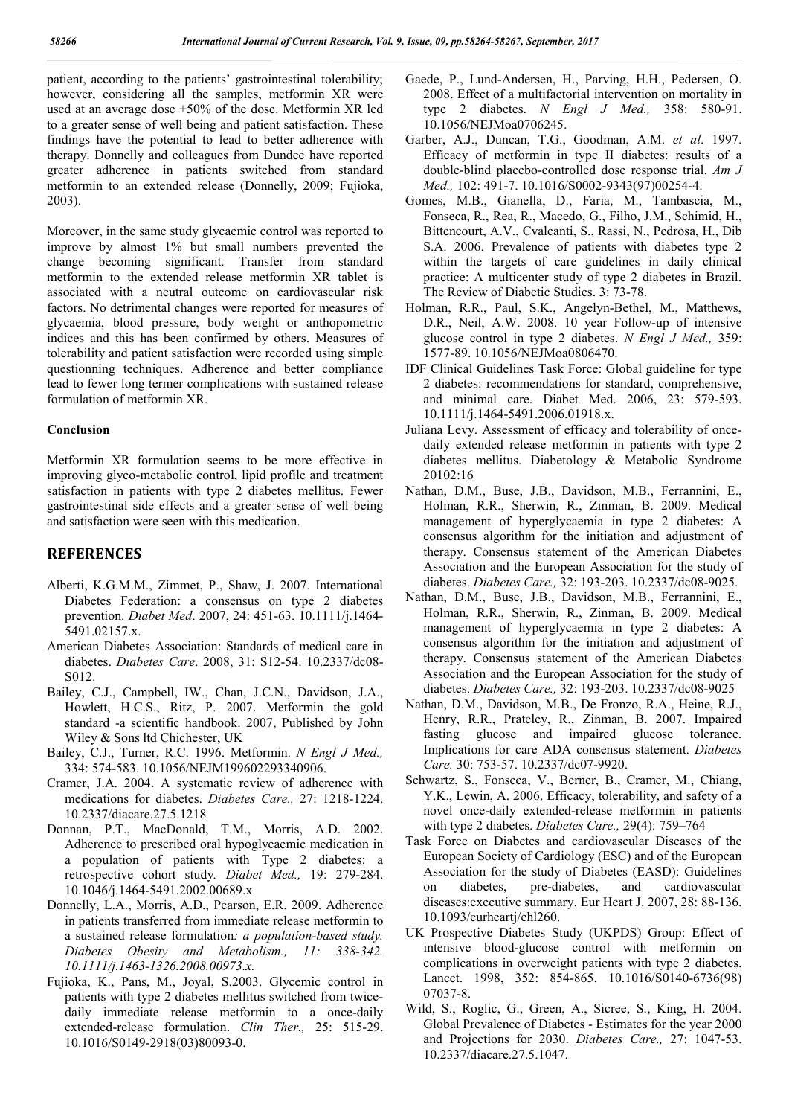patient, according to the patients' gastrointestinal tolerability; however, considering all the samples, metformin XR were used at an average dose ±50% of the dose. Metformin XR led to a greater sense of well being and patient satisfaction. These findings have the potential to lead to better adherence with therapy. Donnelly and colleagues from Dundee have reported greater adherence in patients switched from standard metformin to an extended release (Donnelly, 2009; Fujioka, 2003).

Moreover, in the same study glycaemic control was reported to improve by almost 1% but small numbers prevented the change becoming significant. Transfer from standard metformin to the extended release metformin XR tablet is associated with a neutral outcome on cardiovascular risk factors. No detrimental changes were reported for measures of glycaemia, blood pressure, body weight or anthopometric indices and this has been confirmed by others. Measures of tolerability and patient satisfaction were recorded using simple questionning techniques. Adherence and better compliance lead to fewer long termer complications with sustained release formulation of metformin XR.

#### **Conclusion**

Metformin XR formulation seems to be more effective in improving glyco-metabolic control, lipid profile and treatment satisfaction in patients with type 2 diabetes mellitus. Fewer gastrointestinal side effects and a greater sense of well being and satisfaction were seen with this medication.

### **REFERENCES**

- Alberti, K.G.M.M., Zimmet, P., Shaw, J. 2007. International Diabetes Federation: a consensus on type 2 diabetes prevention. *Diabet Med*. 2007, 24: 451-63. 10.1111/j.1464- 5491.02157.x.
- American Diabetes Association: Standards of medical care in diabetes. *Diabetes Care*. 2008, 31: S12-54. 10.2337/dc08- S012.
- Bailey, C.J., Campbell, IW., Chan, J.C.N., Davidson, J.A., Howlett, H.C.S., Ritz, P. 2007. Metformin the gold standard -a scientific handbook. 2007, Published by John Wiley & Sons ltd Chichester, UK
- Bailey, C.J., Turner, R.C. 1996. Metformin. *N Engl J Med.,* 334: 574-583. 10.1056/NEJM199602293340906.
- Cramer, J.A. 2004. A systematic review of adherence with medications for diabetes. *Diabetes Care.,* 27: 1218-1224. 10.2337/diacare.27.5.1218
- Donnan, P.T., MacDonald, T.M., Morris, A.D. 2002. Adherence to prescribed oral hypoglycaemic medication in a population of patients with Type 2 diabetes: a retrospective cohort study*. Diabet Med.,* 19: 279-284. 10.1046/j.1464-5491.2002.00689.x
- Donnelly, L.A., Morris, A.D., Pearson, E.R. 2009. Adherence in patients transferred from immediate release metformin to a sustained release formulation*: a population-based study. Diabetes Obesity and Metabolism., 11: 338-342. 10.1111/j.1463-1326.2008.00973.x.*
- Fujioka, K., Pans, M., Joyal, S.2003. Glycemic control in patients with type 2 diabetes mellitus switched from twicedaily immediate release metformin to a once-daily extended-release formulation. *Clin Ther.,* 25: 515-29. 10.1016/S0149-2918(03)80093-0.
- Gaede, P., Lund-Andersen, H., Parving, H.H., Pedersen, O. 2008. Effect of a multifactorial intervention on mortality in type 2 diabetes. *N Engl J Med.,* 358: 580-91. 10.1056/NEJMoa0706245.
- Garber, A.J., Duncan, T.G., Goodman, A.M. *et al*. 1997. Efficacy of metformin in type II diabetes: results of a double-blind placebo-controlled dose response trial. *Am J Med.,* 102: 491-7. 10.1016/S0002-9343(97)00254-4.
- Gomes, M.B., Gianella, D., Faria, M., Tambascia, M., Fonseca, R., Rea, R., Macedo, G., Filho, J.M., Schimid, H., Bittencourt, A.V., Cvalcanti, S., Rassi, N., Pedrosa, H., Dib S.A. 2006. Prevalence of patients with diabetes type 2 within the targets of care guidelines in daily clinical practice: A multicenter study of type 2 diabetes in Brazil. The Review of Diabetic Studies. 3: 73-78.
- Holman, R.R., Paul, S.K., Angelyn-Bethel, M., Matthews, D.R., Neil, A.W. 2008. 10 year Follow-up of intensive glucose control in type 2 diabetes. *N Engl J Med.,* 359: 1577-89. 10.1056/NEJMoa0806470.
- IDF Clinical Guidelines Task Force: Global guideline for type 2 diabetes: recommendations for standard, comprehensive, and minimal care. Diabet Med. 2006, 23: 579-593. 10.1111/j.1464-5491.2006.01918.x.
- Juliana Levy. Assessment of efficacy and tolerability of oncedaily extended release metformin in patients with type 2 diabetes mellitus. Diabetology & Metabolic Syndrome 20102:16
- Nathan, D.M., Buse, J.B., Davidson, M.B., Ferrannini, E., Holman, R.R., Sherwin, R., Zinman, B. 2009. Medical management of hyperglycaemia in type 2 diabetes: A consensus algorithm for the initiation and adjustment of therapy. Consensus statement of the American Diabetes Association and the European Association for the study of diabetes. *Diabetes Care.,* 32: 193-203. 10.2337/dc08-9025.
- Nathan, D.M., Buse, J.B., Davidson, M.B., Ferrannini, E., Holman, R.R., Sherwin, R., Zinman, B. 2009. Medical management of hyperglycaemia in type 2 diabetes: A consensus algorithm for the initiation and adjustment of therapy. Consensus statement of the American Diabetes Association and the European Association for the study of diabetes. *Diabetes Care.,* 32: 193-203. 10.2337/dc08-9025
- Nathan, D.M., Davidson, M.B., De Fronzo, R.A., Heine, R.J., Henry, R.R., Prateley, R., Zinman, B. 2007. Impaired fasting glucose and impaired glucose tolerance. Implications for care ADA consensus statement. *Diabetes Care.* 30: 753-57. 10.2337/dc07-9920.
- Schwartz, S., Fonseca, V., Berner, B., Cramer, M., Chiang, Y.K., Lewin, A. 2006. Efficacy, tolerability, and safety of a novel once-daily extended-release metformin in patients with type 2 diabetes. *Diabetes Care.,* 29(4): 759–764
- Task Force on Diabetes and cardiovascular Diseases of the European Society of Cardiology (ESC) and of the European Association for the study of Diabetes (EASD): Guidelines on diabetes, pre-diabetes, and cardiovascular diseases:executive summary. Eur Heart J. 2007, 28: 88-136. 10.1093/eurheartj/ehl260.
- UK Prospective Diabetes Study (UKPDS) Group: Effect of intensive blood-glucose control with metformin on complications in overweight patients with type 2 diabetes. Lancet. 1998, 352: 854-865. 10.1016/S0140-6736(98) 07037-8.
- Wild, S., Roglic, G., Green, A., Sicree, S., King, H. 2004. Global Prevalence of Diabetes - Estimates for the year 2000 and Projections for 2030. *Diabetes Care.,* 27: 1047-53. 10.2337/diacare.27.5.1047.